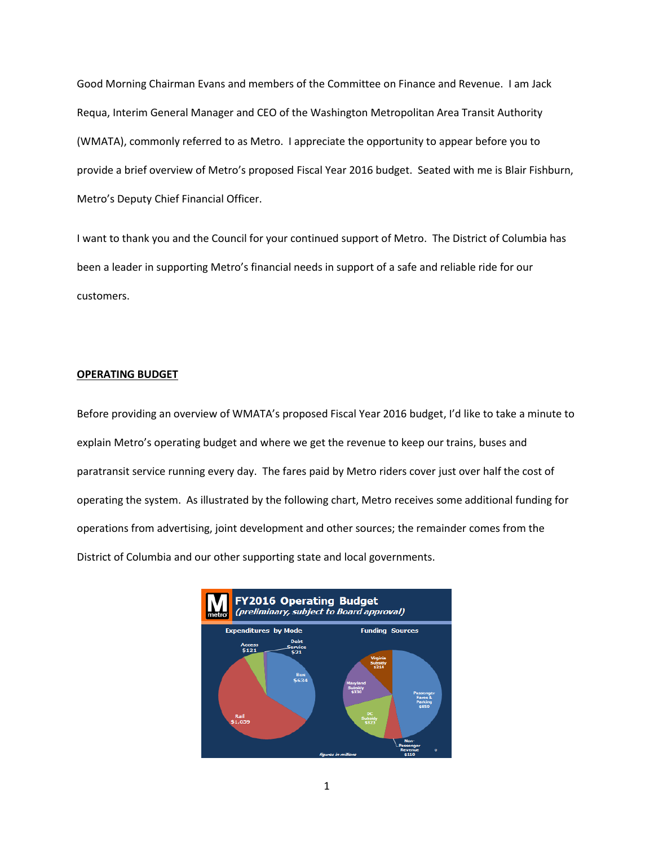Good Morning Chairman Evans and members of the Committee on Finance and Revenue. I am Jack Requa, Interim General Manager and CEO of the Washington Metropolitan Area Transit Authority (WMATA), commonly referred to as Metro. I appreciate the opportunity to appear before you to provide a brief overview of Metro's proposed Fiscal Year 2016 budget. Seated with me is Blair Fishburn, Metro's Deputy Chief Financial Officer.

I want to thank you and the Council for your continued support of Metro. The District of Columbia has been a leader in supporting Metro's financial needs in support of a safe and reliable ride for our customers.

#### **OPERATING BUDGET**

Before providing an overview of WMATA's proposed Fiscal Year 2016 budget, I'd like to take a minute to explain Metro's operating budget and where we get the revenue to keep our trains, buses and paratransit service running every day. The fares paid by Metro riders cover just over half the cost of operating the system. As illustrated by the following chart, Metro receives some additional funding for operations from advertising, joint development and other sources; the remainder comes from the District of Columbia and our other supporting state and local governments.

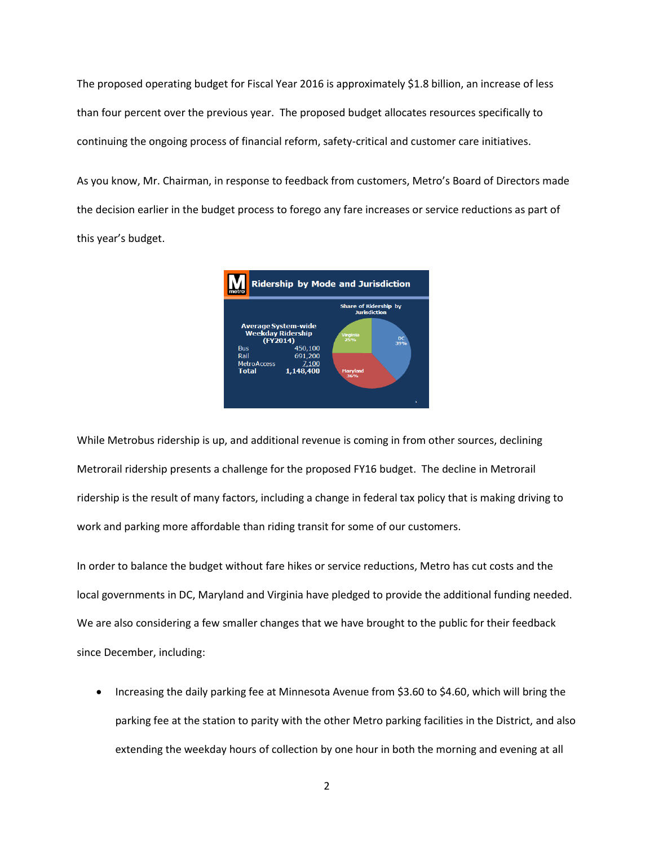The proposed operating budget for Fiscal Year 2016 is approximately \$1.8 billion, an increase of less than four percent over the previous year. The proposed budget allocates resources specifically to continuing the ongoing process of financial reform, safety-critical and customer care initiatives.

As you know, Mr. Chairman, in response to feedback from customers, Metro's Board of Directors made the decision earlier in the budget process to forego any fare increases or service reductions as part of this year's budget.



While Metrobus ridership is up, and additional revenue is coming in from other sources, declining Metrorail ridership presents a challenge for the proposed FY16 budget. The decline in Metrorail ridership is the result of many factors, including a change in federal tax policy that is making driving to work and parking more affordable than riding transit for some of our customers.

In order to balance the budget without fare hikes or service reductions, Metro has cut costs and the local governments in DC, Maryland and Virginia have pledged to provide the additional funding needed. We are also considering a few smaller changes that we have brought to the public for their feedback since December, including:

• Increasing the daily parking fee at Minnesota Avenue from \$3.60 to \$4.60, which will bring the parking fee at the station to parity with the other Metro parking facilities in the District, and also extending the weekday hours of collection by one hour in both the morning and evening at all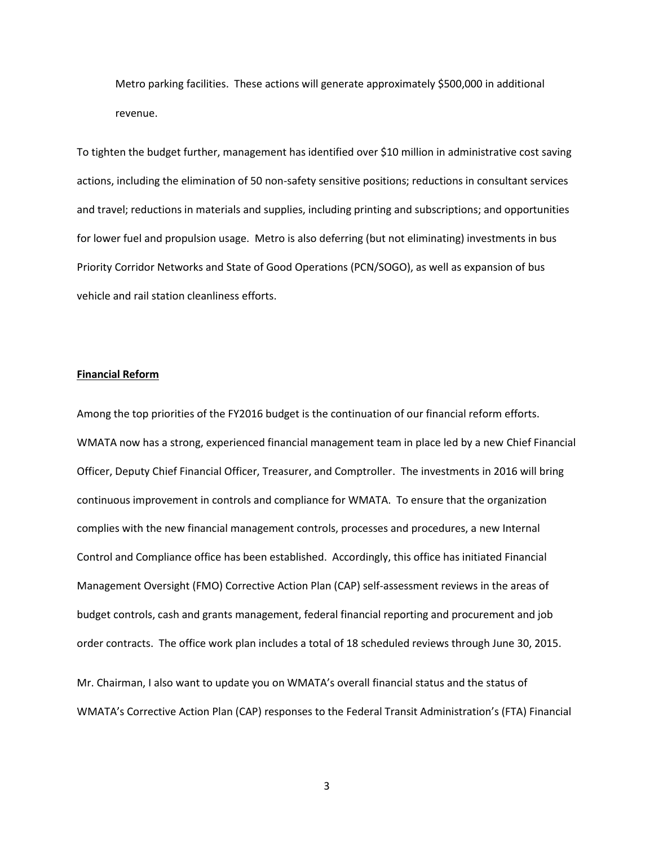Metro parking facilities. These actions will generate approximately \$500,000 in additional revenue.

To tighten the budget further, management has identified over \$10 million in administrative cost saving actions, including the elimination of 50 non-safety sensitive positions; reductions in consultant services and travel; reductions in materials and supplies, including printing and subscriptions; and opportunities for lower fuel and propulsion usage. Metro is also deferring (but not eliminating) investments in bus Priority Corridor Networks and State of Good Operations (PCN/SOGO), as well as expansion of bus vehicle and rail station cleanliness efforts.

### **Financial Reform**

Among the top priorities of the FY2016 budget is the continuation of our financial reform efforts. WMATA now has a strong, experienced financial management team in place led by a new Chief Financial Officer, Deputy Chief Financial Officer, Treasurer, and Comptroller. The investments in 2016 will bring continuous improvement in controls and compliance for WMATA. To ensure that the organization complies with the new financial management controls, processes and procedures, a new Internal Control and Compliance office has been established. Accordingly, this office has initiated Financial Management Oversight (FMO) Corrective Action Plan (CAP) self-assessment reviews in the areas of budget controls, cash and grants management, federal financial reporting and procurement and job order contracts. The office work plan includes a total of 18 scheduled reviews through June 30, 2015.

Mr. Chairman, I also want to update you on WMATA's overall financial status and the status of WMATA's Corrective Action Plan (CAP) responses to the Federal Transit Administration's (FTA) Financial

3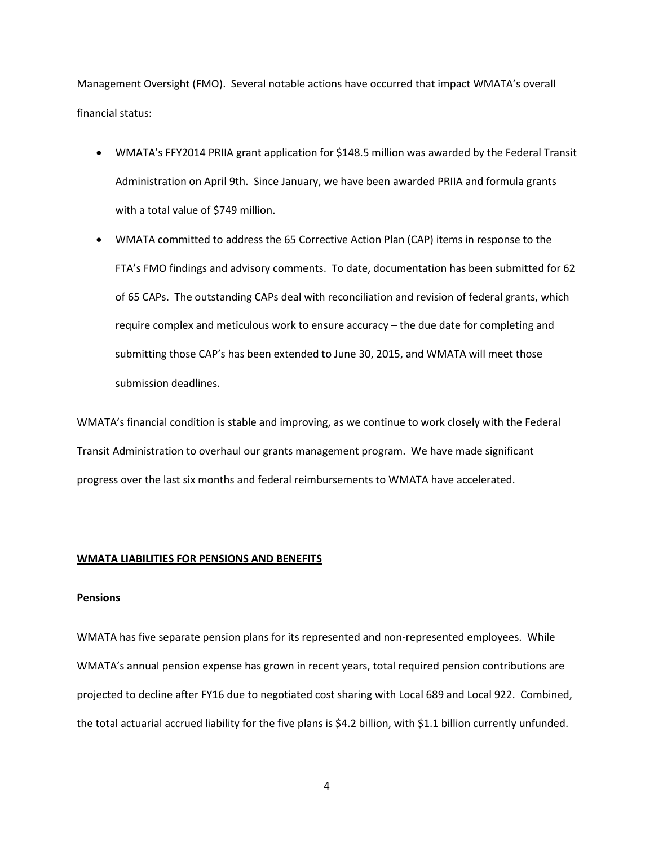Management Oversight (FMO). Several notable actions have occurred that impact WMATA's overall financial status:

- WMATA's FFY2014 PRIIA grant application for \$148.5 million was awarded by the Federal Transit Administration on April 9th. Since January, we have been awarded PRIIA and formula grants with a total value of \$749 million.
- WMATA committed to address the 65 Corrective Action Plan (CAP) items in response to the FTA's FMO findings and advisory comments. To date, documentation has been submitted for 62 of 65 CAPs. The outstanding CAPs deal with reconciliation and revision of federal grants, which require complex and meticulous work to ensure accuracy – the due date for completing and submitting those CAP's has been extended to June 30, 2015, and WMATA will meet those submission deadlines.

WMATA's financial condition is stable and improving, as we continue to work closely with the Federal Transit Administration to overhaul our grants management program. We have made significant progress over the last six months and federal reimbursements to WMATA have accelerated.

# **WMATA LIABILITIES FOR PENSIONS AND BENEFITS**

# **Pensions**

WMATA has five separate pension plans for its represented and non-represented employees. While WMATA's annual pension expense has grown in recent years, total required pension contributions are projected to decline after FY16 due to negotiated cost sharing with Local 689 and Local 922. Combined, the total actuarial accrued liability for the five plans is \$4.2 billion, with \$1.1 billion currently unfunded.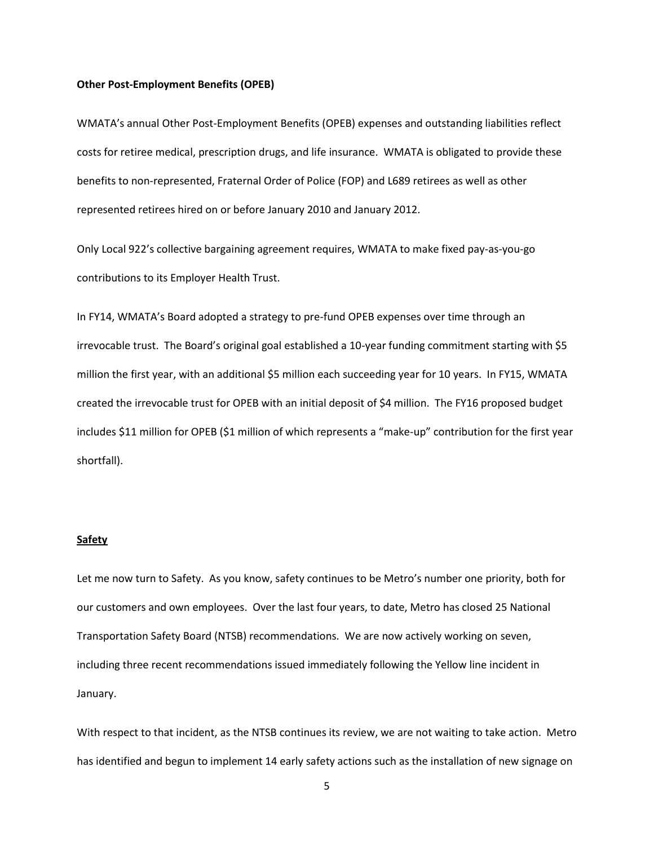#### **Other Post-Employment Benefits (OPEB)**

WMATA's annual Other Post-Employment Benefits (OPEB) expenses and outstanding liabilities reflect costs for retiree medical, prescription drugs, and life insurance. WMATA is obligated to provide these benefits to non-represented, Fraternal Order of Police (FOP) and L689 retirees as well as other represented retirees hired on or before January 2010 and January 2012.

Only Local 922's collective bargaining agreement requires, WMATA to make fixed pay-as-you-go contributions to its Employer Health Trust.

In FY14, WMATA's Board adopted a strategy to pre-fund OPEB expenses over time through an irrevocable trust. The Board's original goal established a 10-year funding commitment starting with \$5 million the first year, with an additional \$5 million each succeeding year for 10 years. In FY15, WMATA created the irrevocable trust for OPEB with an initial deposit of \$4 million. The FY16 proposed budget includes \$11 million for OPEB (\$1 million of which represents a "make-up" contribution for the first year shortfall).

### **Safety**

Let me now turn to Safety. As you know, safety continues to be Metro's number one priority, both for our customers and own employees. Over the last four years, to date, Metro has closed 25 National Transportation Safety Board (NTSB) recommendations. We are now actively working on seven, including three recent recommendations issued immediately following the Yellow line incident in January.

With respect to that incident, as the NTSB continues its review, we are not waiting to take action. Metro has identified and begun to implement 14 early safety actions such as the installation of new signage on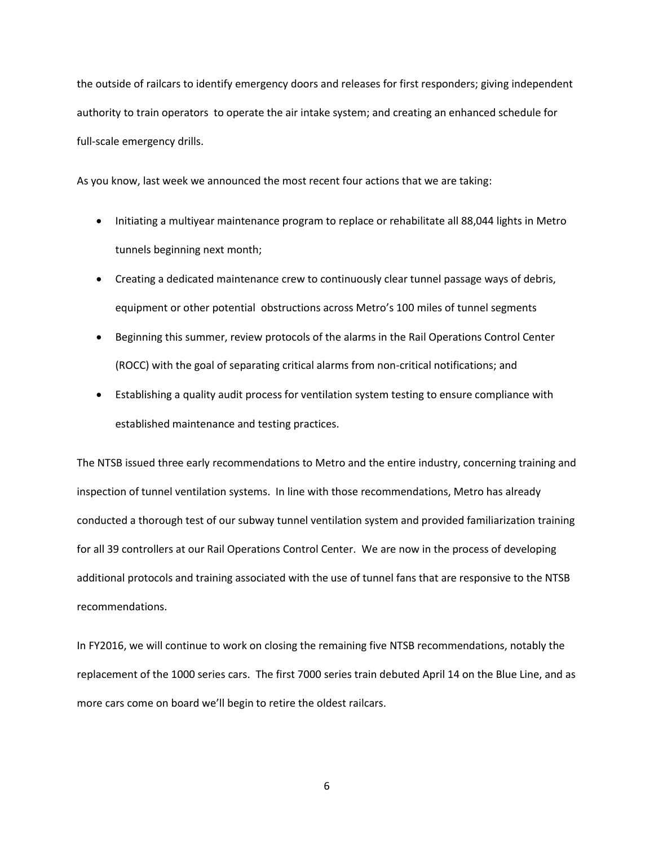the outside of railcars to identify emergency doors and releases for first responders; giving independent authority to train operators to operate the air intake system; and creating an enhanced schedule for full-scale emergency drills.

As you know, last week we announced the most recent four actions that we are taking:

- Initiating a multiyear maintenance program to replace or rehabilitate all 88,044 lights in Metro tunnels beginning next month;
- Creating a dedicated maintenance crew to continuously clear tunnel passage ways of debris, equipment or other potential obstructions across Metro's 100 miles of tunnel segments
- Beginning this summer, review protocols of the alarms in the Rail Operations Control Center (ROCC) with the goal of separating critical alarms from non-critical notifications; and
- Establishing a quality audit process for ventilation system testing to ensure compliance with established maintenance and testing practices.

The NTSB issued three early recommendations to Metro and the entire industry, concerning training and inspection of tunnel ventilation systems. In line with those recommendations, Metro has already conducted a thorough test of our subway tunnel ventilation system and provided familiarization training for all 39 controllers at our Rail Operations Control Center. We are now in the process of developing additional protocols and training associated with the use of tunnel fans that are responsive to the NTSB recommendations.

In FY2016, we will continue to work on closing the remaining five NTSB recommendations, notably the replacement of the 1000 series cars. The first 7000 series train debuted April 14 on the Blue Line, and as more cars come on board we'll begin to retire the oldest railcars.

6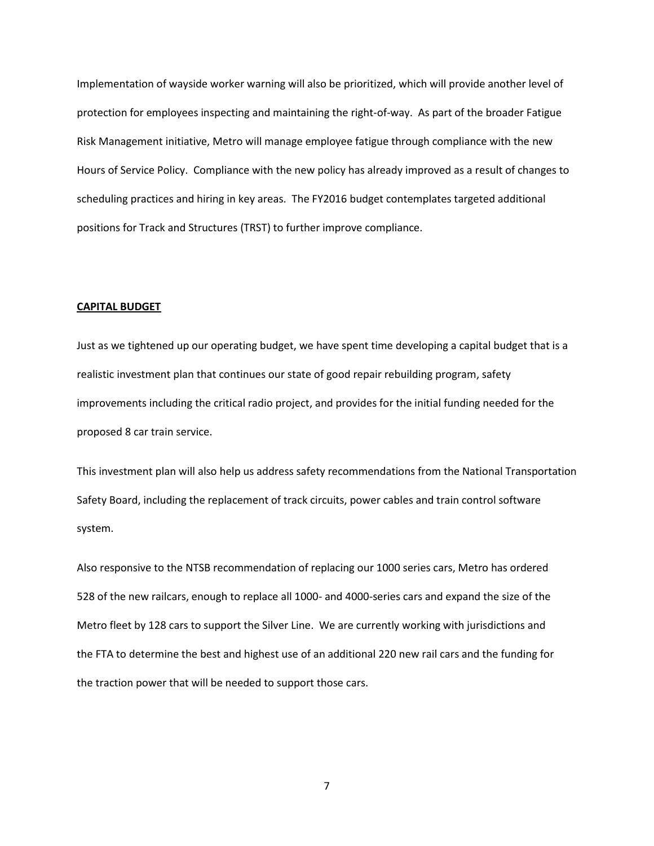Implementation of wayside worker warning will also be prioritized, which will provide another level of protection for employees inspecting and maintaining the right-of-way. As part of the broader Fatigue Risk Management initiative, Metro will manage employee fatigue through compliance with the new Hours of Service Policy. Compliance with the new policy has already improved as a result of changes to scheduling practices and hiring in key areas. The FY2016 budget contemplates targeted additional positions for Track and Structures (TRST) to further improve compliance.

#### **CAPITAL BUDGET**

Just as we tightened up our operating budget, we have spent time developing a capital budget that is a realistic investment plan that continues our state of good repair rebuilding program, safety improvements including the critical radio project, and provides for the initial funding needed for the proposed 8 car train service.

This investment plan will also help us address safety recommendations from the National Transportation Safety Board, including the replacement of track circuits, power cables and train control software system.

Also responsive to the NTSB recommendation of replacing our 1000 series cars, Metro has ordered 528 of the new railcars, enough to replace all 1000- and 4000-series cars and expand the size of the Metro fleet by 128 cars to support the Silver Line. We are currently working with jurisdictions and the FTA to determine the best and highest use of an additional 220 new rail cars and the funding for the traction power that will be needed to support those cars.

7